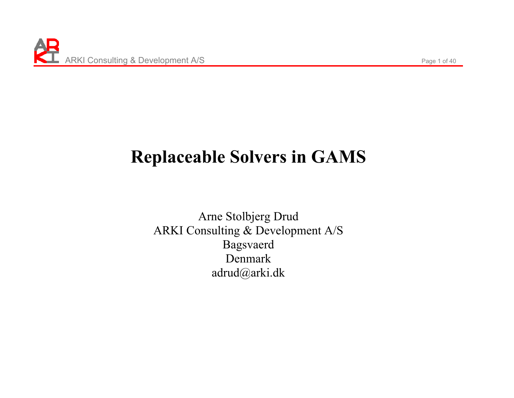# **Replaceable Solvers in GAMS**

Arne Stolbjerg Drud ARKI Consulting & Development A/S Bagsvaerd Denmark adrud@arki.dk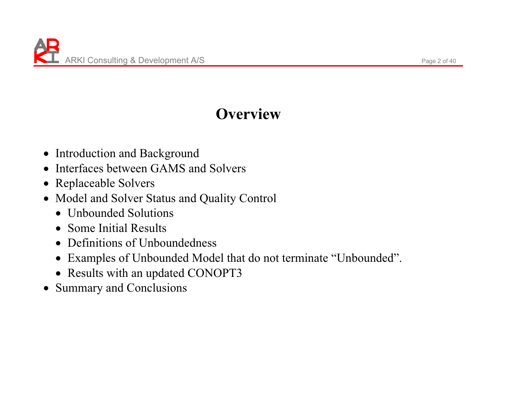### **Overview**

- Introduction and Background
- $\bullet$ Interfaces between GAMS and Solvers
- Replaceable Solvers
- Model and Solver Status and Quality Control
	- Unbounded Solutions
	- Some Initial Results
	- Definitions of Unboundedness
	- Examples of Unbounded Model that do not terminate "Unbounded".
	- Results with an updated CONOPT3
- $\bullet$ Summary and Conclusions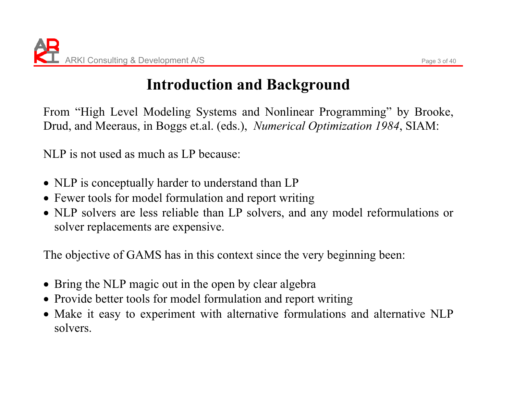# **Introduction and Background**

From "High Level Modeling Systems and Nonlinear Programming" by Brooke, Drud, and Meeraus, in Boggs et.al. (eds.), *Numerical Optimization 1984*, SIAM:

NLP is not used as much as LP because:

- NLP is conceptually harder to understand than LP
- Fewer tools for model formulation and report writing
- NLP solvers are less reliable than LP solvers, and any model reformulations or solver replacements are expensive.

The objective of GAMS has in this context since the very beginning been:

- Bring the NLP magic out in the open by clear algebra
- Provide better tools for model formulation and report writing
- Make it easy to experiment with alternative formulations and alternative NLP solvers.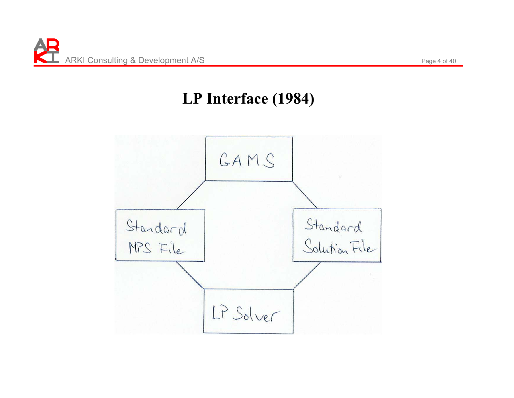#### **LP Interface (1984)**

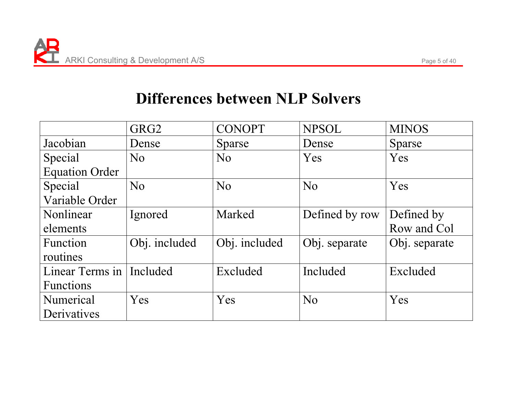#### **Differences between NLP Solvers**

|                            | GRG <sub>2</sub> | <b>CONOPT</b>  | <b>NPSOL</b>   | <b>MINOS</b>  |
|----------------------------|------------------|----------------|----------------|---------------|
| Jacobian                   | Dense            | <b>Sparse</b>  | Dense          | <b>Sparse</b> |
| Special                    | N <sub>o</sub>   | N <sub>o</sub> | Yes            | Yes           |
| <b>Equation Order</b>      |                  |                |                |               |
| Special                    | N <sub>o</sub>   | N <sub>0</sub> | N <sub>o</sub> | Yes           |
| Variable Order             |                  |                |                |               |
| Nonlinear                  | Ignored          | Marked         | Defined by row | Defined by    |
| elements                   |                  |                |                | Row and Col   |
| <b>Function</b>            | Obj. included    | Obj. included  | Obj. separate  | Obj. separate |
| routines                   |                  |                |                |               |
| Linear Terms in   Included |                  | Excluded       | Included       | Excluded      |
| <b>Functions</b>           |                  |                |                |               |
| Numerical                  | Yes              | Yes            | N <sub>o</sub> | Yes           |
| Derivatives                |                  |                |                |               |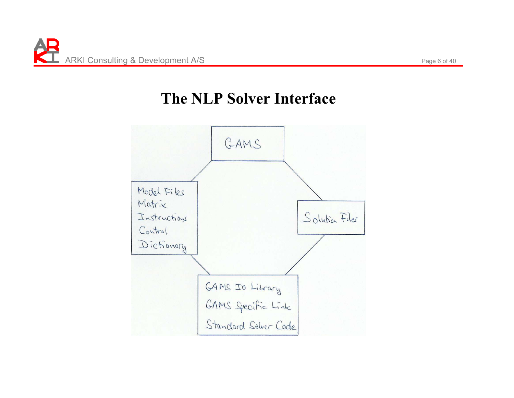#### **The NLP Solver Interface**

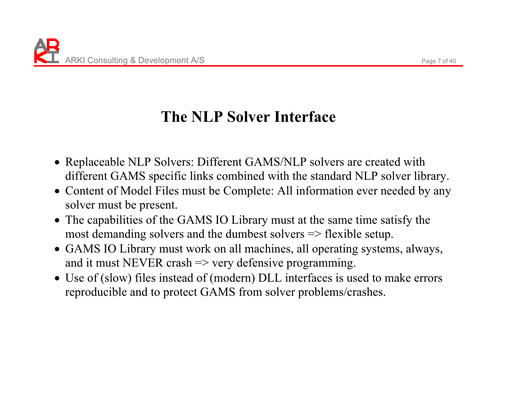# **The NLP Solver Interface**

- Replaceable NLP Solvers: Different GAMS/NLP solvers are created with different GAMS specific links combined with the standard NLP solver library.
- Content of Model Files must be Complete: All information ever needed by any solver must be present.
- The capabilities of the GAMS IO Library must at the same time satisfy the most demanding solvers and the dumbest solvers => flexible setup.
- GAMS IO Library must work on all machines, all operating systems, always, and it must NEVER crash  $\Rightarrow$  very defensive programming.
- Use of (slow) files instead of (modern) DLL interfaces is used to make errors reproducible and to protect GAMS from solver problems/crashes.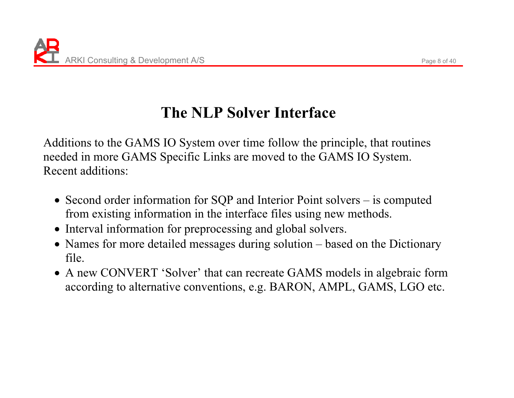# **The NLP Solver Interface**

Additions to the GAMS IO System over time follow the principle, that routines needed in more GAMS Specific Links are moved to the GAMS IO System. Recent additions:

- Second order information for  $SQP$  and Interior Point solvers is computed from existing information in the interface files using new methods.
- Interval information for preprocessing and global solvers.
- Names for more detailed messages during solution based on the Dictionary file.
- A new CONVERT 'Solver' that can recreate GAMS models in algebraic form according to alternative conventions, e.g. BARON, AMPL, GAMS, LGO etc.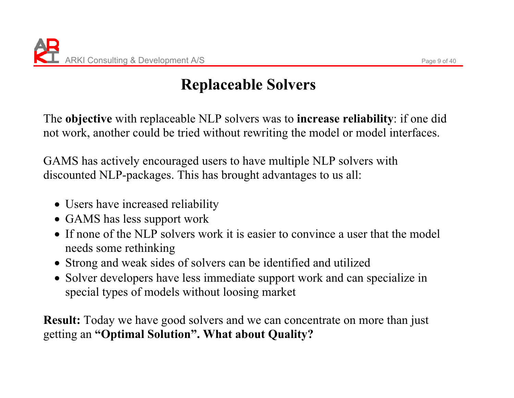# **Replaceable Solvers**

The **objective** with replaceable NLP solvers was to **increase reliability**: if one did not work, another could be tried without rewriting the model or model interfaces.

GAMS has actively encouraged users to have multiple NLP solvers with discounted NLP-packages. This has brought advantages to us all:

- Users have increased reliability
- GAMS has less support work
- If none of the NLP solvers work it is easier to convince a user that the model needs some rethinking
- Strong and weak sides of solvers can be identified and utilized
- Solver developers have less immediate support work and can specialize in special types of models without loosing market

**Result:** Today we have good solvers and we can concentrate on more than just getting an **"Optimal Solution". What about Quality?**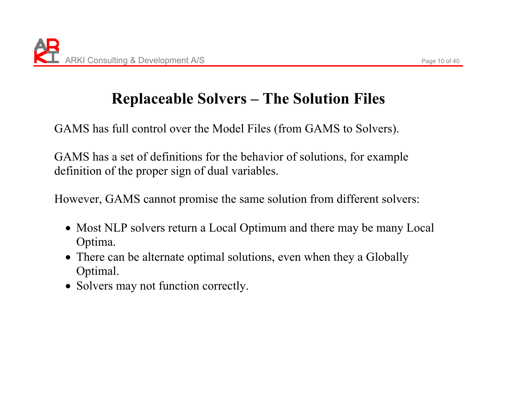# **Replaceable Solvers – The Solution Files**

GAMS has full control over the Model Files (from GAMS to Solvers).

GAMS has a set of definitions for the behavior of solutions, for example definition of the proper sign of dual variables.

However, GAMS cannot promise the same solution from different solvers:

- Most NLP solvers return a Local Optimum and there may be many Local Optima.
- There can be alternate optimal solutions, even when they a Globally Optimal.
- Solvers may not function correctly.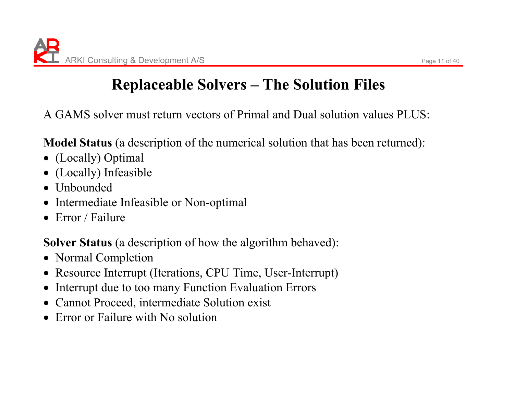# **Replaceable Solvers – The Solution Files**

A GAMS solver must return vectors of Primal and Dual solution values PLUS:

**Model Status** (a description of the numerical solution that has been returned):

- (Locally) Optimal
- $\bullet$ (Locally) Infeasible
- $\bullet$  Unbounded
- $\bullet$ Intermediate Infeasible or Non-optimal
- $\bullet$  Error / Failure

**Solver Status** (a description of how the algorithm behaved):

- Normal Completion
- Resource Interrupt (Iterations, CPU Time, User-Interrupt)
- $\bullet$ Interrupt due to too many Function Evaluation Errors
- Cannot Proceed, intermediate Solution exist
- $\bullet$  Error or Failure with No solution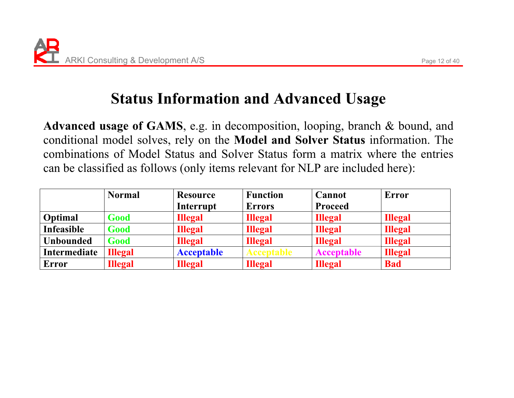### **Status Information and Advanced Usage**

**Advanced usage of GAMS**, e.g. in decomposition, looping, branch & bound, and conditional model solves, rely on the **Model and Solver Status** information. The combinations of Model Status and Solver Status form a matrix where the entries can be classified as follows (only items relevant for NLP are included here):

|                  | <b>Normal</b>  | <b>Resource</b>   | <b>Function</b>   | <b>Cannot</b>     | <b>Error</b>   |
|------------------|----------------|-------------------|-------------------|-------------------|----------------|
|                  |                | Interrupt         | <b>Errors</b>     | <b>Proceed</b>    |                |
| Optimal          | Good           | <b>Illegal</b>    | <b>Illegal</b>    | <b>Illegal</b>    | <b>Illegal</b> |
| Infeasible       | Good           | <b>Illegal</b>    | <b>Illegal</b>    | <b>Illegal</b>    | <b>Illegal</b> |
| <b>Unbounded</b> | Good           | <b>Illegal</b>    | <b>Illegal</b>    | <b>Illegal</b>    | <b>Illegal</b> |
| Intermediate     | <b>Illegal</b> | <b>Acceptable</b> | <b>Acceptable</b> | <b>Acceptable</b> | <b>Illegal</b> |
| Error            | <b>Illegal</b> | <b>Illegal</b>    | <b>Illegal</b>    | <b>Illegal</b>    | <b>Bad</b>     |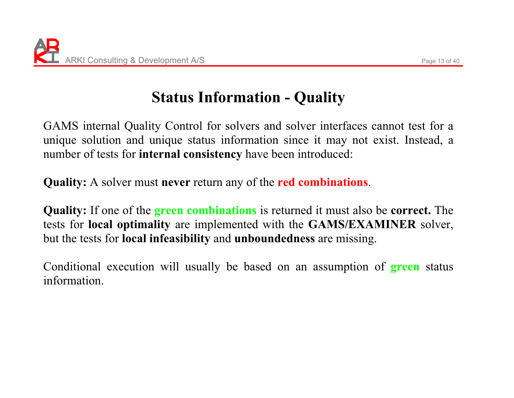# **Status Information - Quality**

GAMS internal Quality Control for solvers and solver interfaces cannot test for a unique solution and unique status information since it may not exist. Instead, a number of tests for **internal consistency** have been introduced:

**Quality:** A solver must **never** return any of the **red combinations**.

**Quality:** If one of the **green combinations** is returned it must also be **correct.** The tests for **local optimality** are implemented with the **GAMS/EXAMINER** solver, but the tests for **local infeasibility** and **unboundedness** are missing.

Conditional execution will usually be based on an assumption of **green** status information.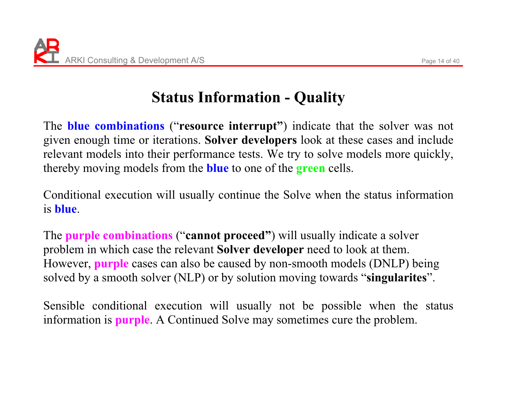# **Status Information - Quality**

The **blue combinations** ("**resource interrupt"**) indicate that the solver was not given enough time or iterations. **Solver developers** look at these cases and include relevant models into their performance tests. We try to solve models more quickly, thereby moving models from the **blue** to one of the **green** cells.

Conditional execution will usually continue the Solve when the status information is **blue**.

The **purple combinations** ("**cannot proceed"**) will usually indicate a solver problem in which case the relevant **Solver developer** need to look at them. However, **purple** cases can also be caused by non-smooth models (DNLP) being solved by a smooth solver (NLP) or by solution moving towards "**singularites**".

Sensible conditional execution will usually not be possible when the status information is **purple**. A Continued Solve may sometimes cure the problem.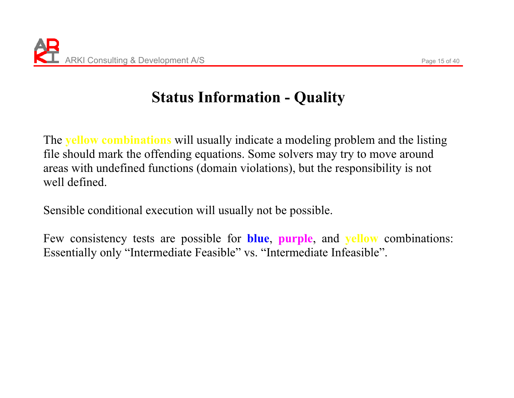# **Status Information - Quality**

The **yellow combinations** will usually indicate a modeling problem and the listing file should mark the offending equations. Some solvers may try to move around areas with undefined functions (domain violations), but the responsibility is not well defined.

Sensible conditional execution will usually not be possible.

Few consistency tests are possible for **blue**, **purple**, and **yellow** combinations: Essentially only "Intermediate Feasible" vs. "Intermediate Infeasible".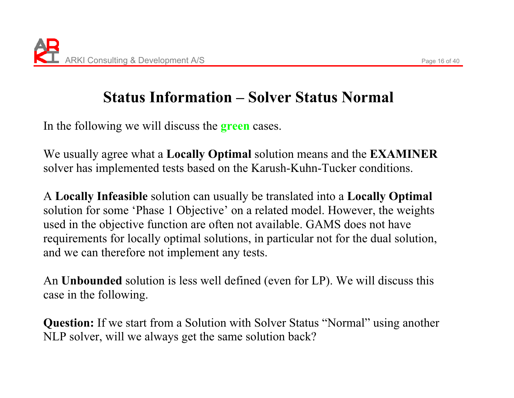## **Status Information – Solver Status Normal**

In the following we will discuss the **green** cases.

We usually agree what a **Locally Optimal** solution means and the **EXAMINER** solver has implemented tests based on the Karush-Kuhn-Tucker conditions.

A **Locally Infeasible** solution can usually be translated into a **Locally Optimal**  solution for some 'Phase 1 Objective' on a related model. However, the weights used in the objective function are often not available. GAMS does not have requirements for locally optimal solutions, in particular not for the dual solution, and we can therefore not implement any tests.

An **Unbounded** solution is less well defined (even for LP). We will discuss this case in the following.

**Question:** If we start from a Solution with Solver Status "Normal" using another NLP solver, will we always get the same solution back?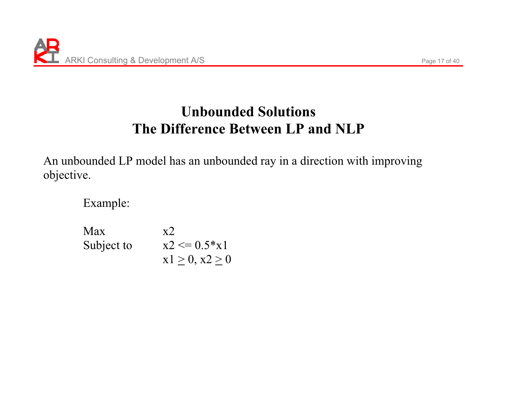### **Unbounded Solutions The Difference Between LP and NLP**

An unbounded LP model has an unbounded ray in a direction with improving objective.

Example:

 $Max \t x2$ Subject to  $x2 \le 0.5*x1$  $x1 \ge 0, x2 \ge 0$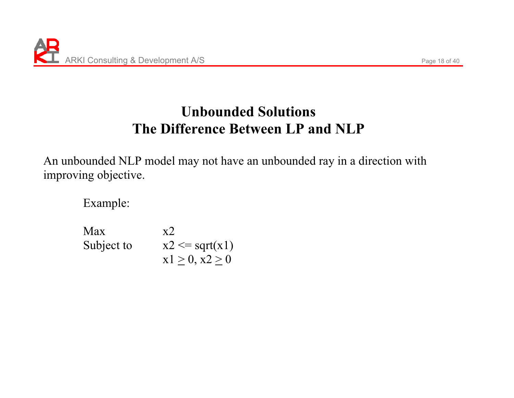### **Unbounded Solutions The Difference Between LP and NLP**

An unbounded NLP model may not have an unbounded ray in a direction with improving objective.

Example:

 $Max$   $x2$ Subject to  $x2 \leq sqrt(x1)$  $x1 \ge 0, x2 \ge 0$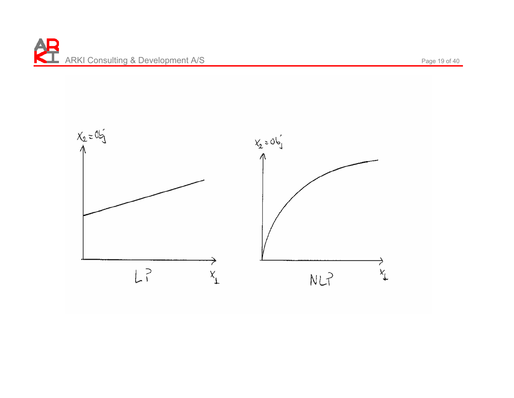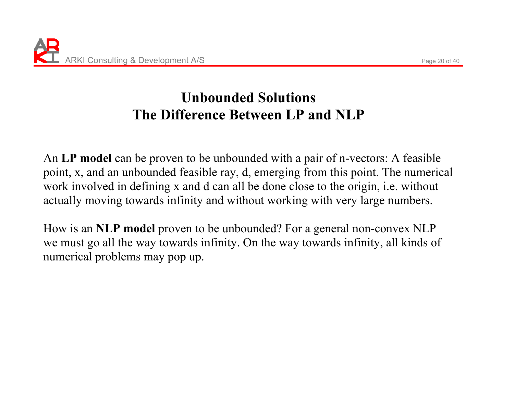### **Unbounded Solutions The Difference Between LP and NLP**

An **LP model** can be proven to be unbounded with a pair of n-vectors: A feasible point, x, and an unbounded feasible ray, d, emerging from this point. The numerical work involved in defining x and d can all be done close to the origin, i.e. without actually moving towards infinity and without working with very large numbers.

How is an **NLP model** proven to be unbounded? For a general non-convex NLP we must go all the way towards infinity. On the way towards infinity, all kinds of numerical problems may pop up.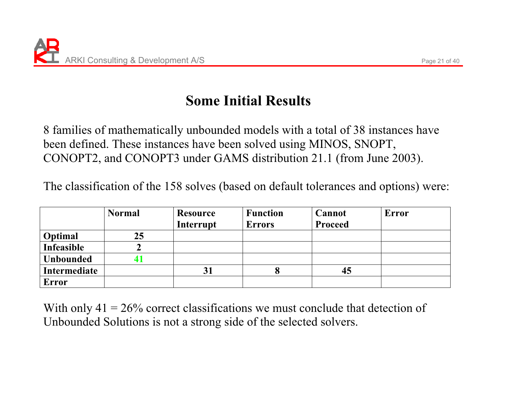### **Some Initial Results**

8 families of mathematically unbounded models with a total of 38 instances have been defined. These instances have been solved using MINOS, SNOPT, CONOPT2, and CONOPT3 under GAMS distribution 21.1 (from June 2003).

The classification of the 158 solves (based on default tolerances and options) were:

|                   | <b>Normal</b> | <b>Resource</b> | <b>Function</b> | <b>Cannot</b>  | <b>Error</b> |
|-------------------|---------------|-----------------|-----------------|----------------|--------------|
|                   |               | Interrupt       | <b>Errors</b>   | <b>Proceed</b> |              |
| Optimal           | 25            |                 |                 |                |              |
| <b>Infeasible</b> |               |                 |                 |                |              |
| <b>Unbounded</b>  |               |                 |                 |                |              |
| Intermediate      |               | 31              |                 | 45             |              |
| <b>Error</b>      |               |                 |                 |                |              |

With only  $41 = 26\%$  correct classifications we must conclude that detection of Unbounded Solutions is not a strong side of the selected solvers.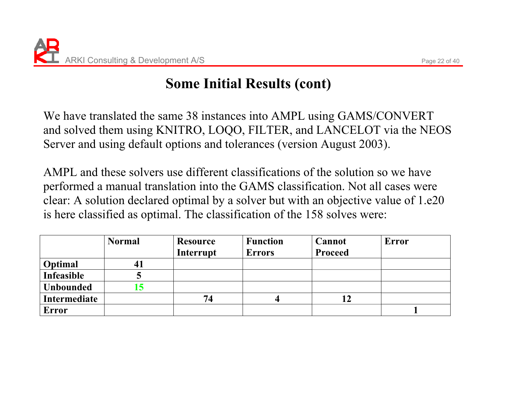### **Some Initial Results (cont)**

We have translated the same 38 instances into AMPL using GAMS/CONVERT and solved them using KNITRO, LOQO, FILTER, and LANCELOT via the NEOS Server and using default options and tolerances (version August 2003).

AMPL and these solvers use different classifications of the solution so we have performed a manual translation into the GAMS classification. Not all cases were clear: A solution declared optimal by a solver but with an objective value of 1.e20 is here classified as optimal. The classification of the 158 solves were:

|                  | <b>Normal</b> | <b>Resource</b> | <b>Function</b> | Cannot         | Error |
|------------------|---------------|-----------------|-----------------|----------------|-------|
|                  |               | Interrupt       | <b>Errors</b>   | <b>Proceed</b> |       |
| Optimal          | 41            |                 |                 |                |       |
| Infeasible       |               |                 |                 |                |       |
| <b>Unbounded</b> |               |                 |                 |                |       |
| Intermediate     |               | 74              |                 | 12             |       |
| <b>Error</b>     |               |                 |                 |                |       |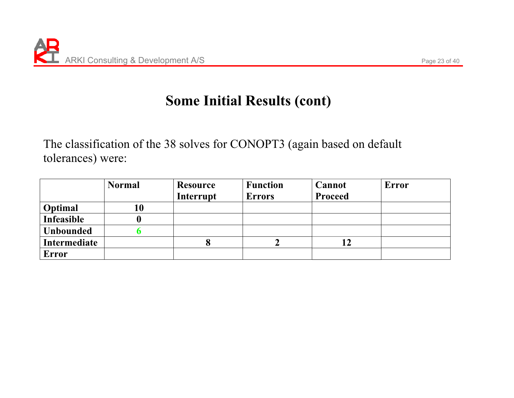#### **Some Initial Results (cont)**

The classification of the 38 solves for CONOPT3 (again based on default tolerances) were:

|                  | <b>Normal</b> | <b>Resource</b> | <b>Function</b> | <b>Cannot</b>  | <b>Error</b> |
|------------------|---------------|-----------------|-----------------|----------------|--------------|
|                  |               | Interrupt       | <b>Errors</b>   | <b>Proceed</b> |              |
| <b>Optimal</b>   | 10            |                 |                 |                |              |
| Infeasible       |               |                 |                 |                |              |
| <b>Unbounded</b> |               |                 |                 |                |              |
| Intermediate     |               | 8               |                 | 12             |              |
| Error            |               |                 |                 |                |              |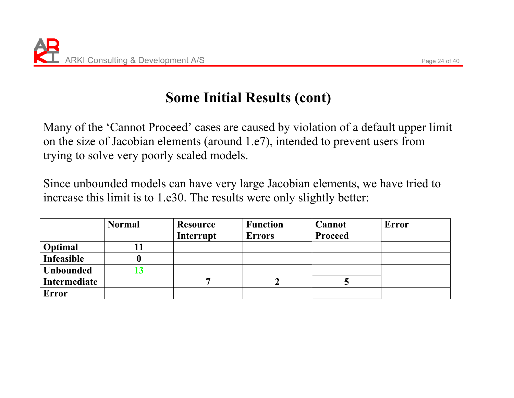### **Some Initial Results (cont)**

Many of the 'Cannot Proceed' cases are caused by violation of a default upper limit on the size of Jacobian elements (around 1.e7), intended to prevent users from trying to solve very poorly scaled models.

Since unbounded models can have very large Jacobian elements, we have tried to increase this limit is to 1.e30. The results were only slightly better:

|                  | <b>Normal</b> | <b>Resource</b> | <b>Function</b> | Cannot         | <b>Error</b> |
|------------------|---------------|-----------------|-----------------|----------------|--------------|
|                  |               | Interrupt       | <b>Errors</b>   | <b>Proceed</b> |              |
| Optimal          |               |                 |                 |                |              |
| Infeasible       |               |                 |                 |                |              |
| <b>Unbounded</b> |               |                 |                 |                |              |
| Intermediate     |               |                 |                 |                |              |
| <b>Error</b>     |               |                 |                 |                |              |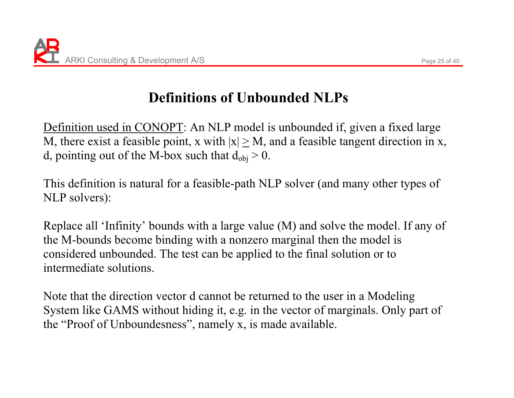# **Definitions of Unbounded NLPs**

Definition used in CONOPT: An NLP model is unbounded if, given a fixed large M, there exist a feasible point, x with  $|x| \geq M$ , and a feasible tangent direction in x, d, pointing out of the M-box such that  $d_{obj} > 0$ .

This definition is natural for a feasible-path NLP solver (and many other types of NLP solvers):

Replace all 'Infinity' bounds with a large value (M) and solve the model. If any of the M-bounds become binding with a nonzero marginal then the model is considered unbounded. The test can be applied to the final solution or to intermediate solutions.

Note that the direction vector d cannot be returned to the user in a Modeling System like GAMS without hiding it, e.g. in the vector of marginals. Only part of the "Proof of Unboundesness", namely x, is made available.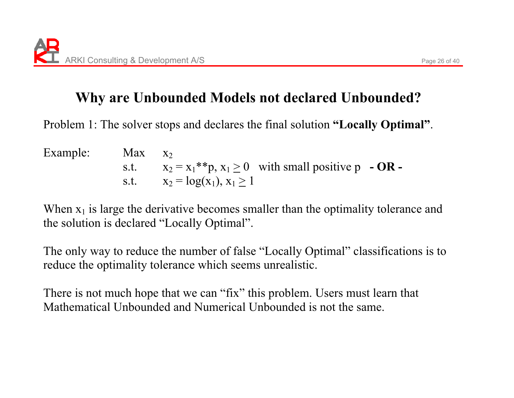Problem 1: The solver stops and declares the final solution **"Locally Optimal"**.

Example: Max  $X<sub>2</sub>$  $s.t.$  $x_2 = x_1$ <sup>\*</sup>\*p,  $x_1 \ge 0$  with small positive p **- OR** s.t.  $x_2 = log(x_1), x_1 \ge 1$ 

When  $x_1$  is large the derivative becomes smaller than the optimality tolerance and the solution is declared "Locally Optimal".

The only way to reduce the number of false "Locally Optimal" classifications is to reduce the optimality tolerance which seems unrealistic.

There is not much hope that we can "fix" this problem. Users must learn that Mathematical Unbounded and Numerical Unbounded is not the same.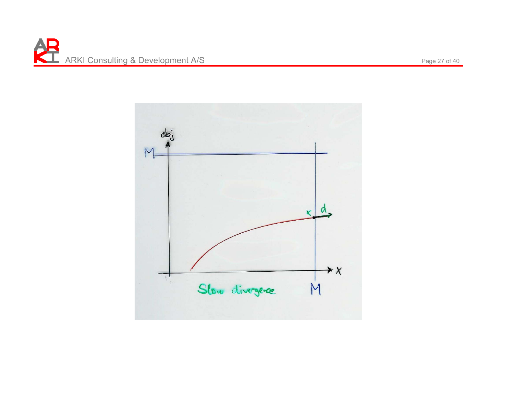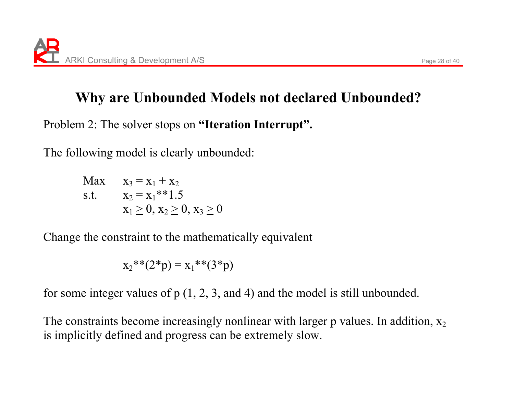Problem 2: The solver stops on **"Iteration Interrupt".**

The following model is clearly unbounded:

 $Max \t x_3 = x_1 + x_2$ s.t.  $x_2 = x_1**1.5$  $x_1 \geq 0, x_2 \geq 0, x_3 \geq 0$ 

Change the constraint to the mathematically equivalent

$$
x_2^{**}(2^*p) = x_1^{**}(3^*p)
$$

for some integer values of  $p(1, 2, 3, q)$  and 4) and the model is still unbounded.

The constraints become increasingly nonlinear with larger p values. In addition,  $x_2$ is implicitly defined and progress can be extremely slow.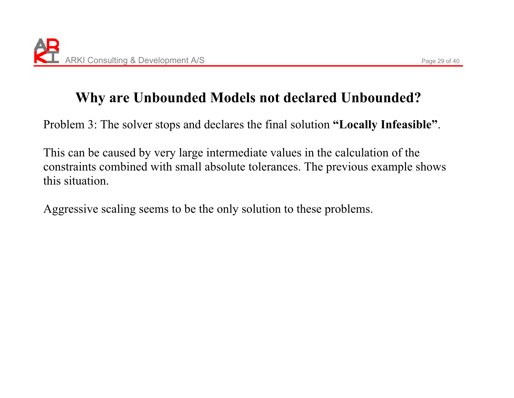Problem 3: The solver stops and declares the final solution **"Locally Infeasible"**.

This can be caused by very large intermediate values in the calculation of the constraints combined with small absolute tolerances. The previous example shows this situation.

Aggressive scaling seems to be the only solution to these problems.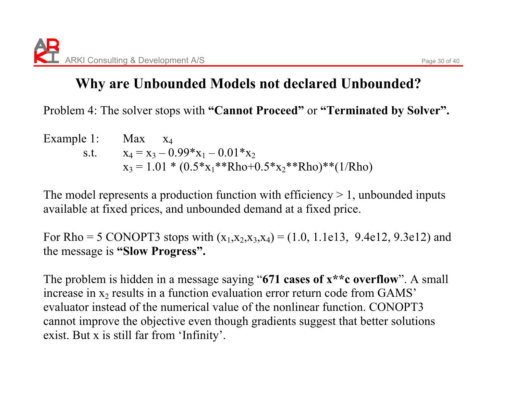Problem 4: The solver stops with **"Cannot Proceed"** or **"Terminated by Solver".** 

Example 1: Max  $X_4$ s.t.  $x_4 = x_3 - 0.99^*x_1 - 0.01^*x_2$ **x**  $x_3 = 1.01 * (0.5 * x_1 * * Rho+0.5 * x_2 * * Rho) * *(1/Rho)$ 

The model represents a production function with efficiency  $> 1$ , unbounded inputs available at fixed prices, and unbounded demand at a fixed price.

For Rho = 5 CONOPT3 stops with  $(x_1,x_2,x_3,x_4) = (1.0, 1.1e13, 9.4e12, 9.3e12)$  and the message is **"Slow Progress".**

The problem is hidden in a message saying "**671 cases of x\*\*c overflow**". A small increase in  $x_2$  results in a function evaluation error return code from  $GAMS'$ evaluator instead of the numerical value of the nonlinear function. CONOPT3 cannot improve the objective even though gradients suggest that better solutions exist. But x is still far from 'Infinity'.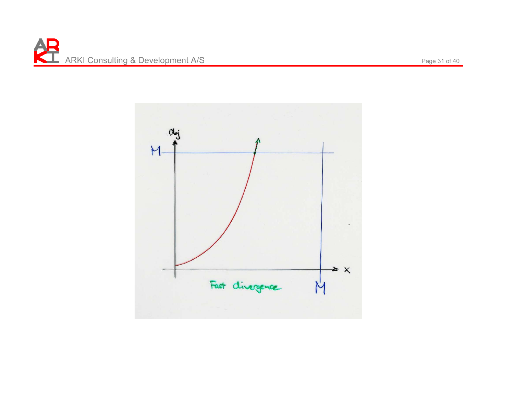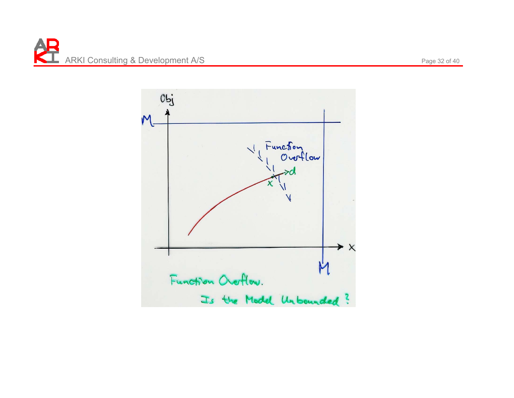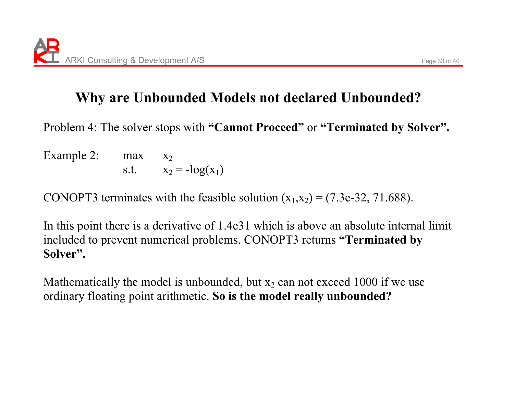Problem 4: The solver stops with **"Cannot Proceed"** or **"Terminated by Solver".** 

Example 2:  $max$  $X<sub>2</sub>$ s.t.  $x_2 = -\log(x_1)$ 

CONOPT3 terminates with the feasible solution  $(x_1,x_2)=(7.3e-32, 71.688)$ .

In this point there is a derivative of 1.4e31 which is above an absolute internal limit included to prevent numerical problems. CONOPT3 returns **"Terminated by Solver".**

Mathematically the model is unbounded, but  $x_2$  can not exceed 1000 if we use ordinary floating point arithmetic. **So is the model really unbounded?**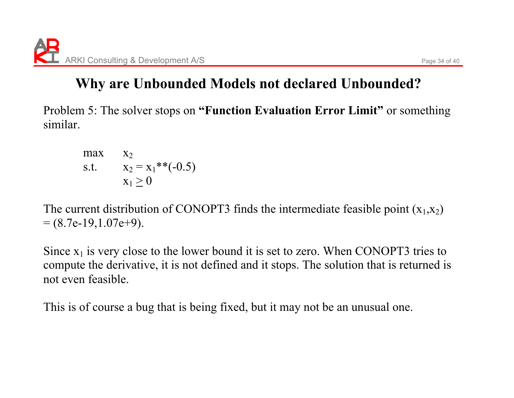Problem 5: The solver stops on **"Function Evaluation Error Limit"** or something similar.

 $max$  $\mathbf{A}$ 2 s.t.  $x_2 = x_1**(-0.5)$  $x_1 \geq 0$ 

The current distribution of CONOPT3 finds the intermediate feasible point  $(x_1,x_2)$  $= (8.7e-19,1.07e+9).$ 

Since  $x_1$  is very close to the lower bound it is set to zero. When CONOPT3 tries to compute the derivative, it is not defined and it stops. The solution that is returned is not even feasible.

This is of course a bug that is being fixed, but it may not be an unusual one.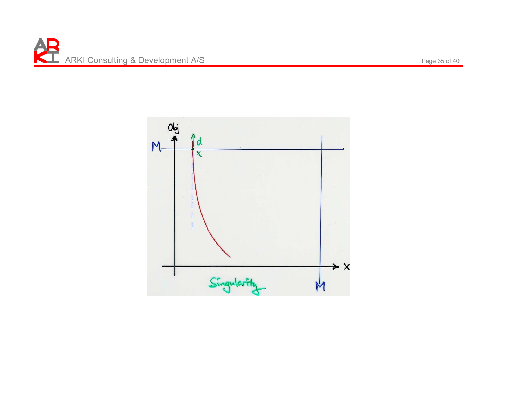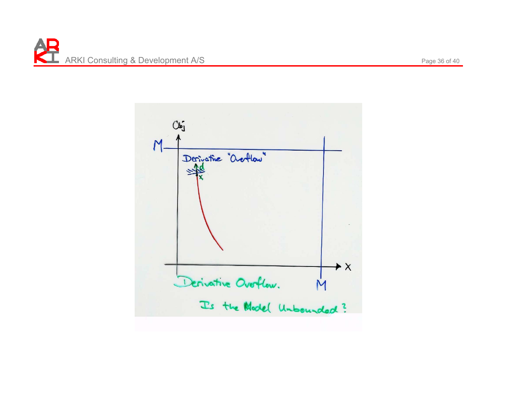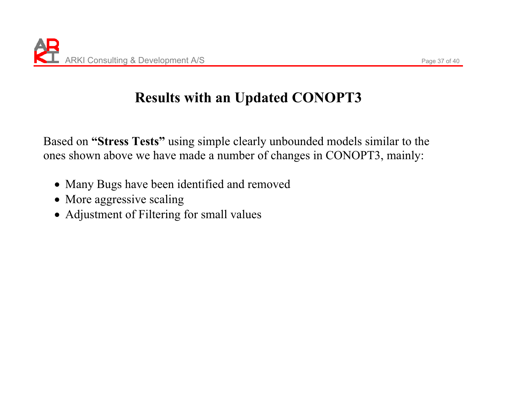### **Results with an Updated CONOPT3**

Based on **"Stress Tests"** using simple clearly unbounded models similar to the ones shown above we have made a number of changes in CONOPT3, mainly:

- Many Bugs have been identified and removed
- More aggressive scaling
- Adjustment of Filtering for small values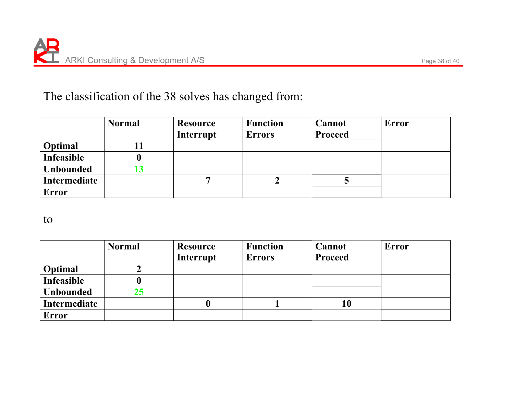#### The classification of the 38 solves has changed from:

|                   | <b>Normal</b> | <b>Resource</b> | <b>Function</b> | Cannot         | <b>Error</b> |
|-------------------|---------------|-----------------|-----------------|----------------|--------------|
|                   |               | Interrupt       | <b>Errors</b>   | <b>Proceed</b> |              |
| Optimal           |               |                 |                 |                |              |
| <b>Infeasible</b> |               |                 |                 |                |              |
| <b>Unbounded</b>  | L3            |                 |                 |                |              |
| Intermediate      |               |                 |                 |                |              |
| <b>Error</b>      |               |                 |                 |                |              |

to

|                   | <b>Normal</b> | <b>Resource</b> | <b>Function</b> | Cannot         | Error |
|-------------------|---------------|-----------------|-----------------|----------------|-------|
|                   |               | Interrupt       | <b>Errors</b>   | <b>Proceed</b> |       |
| Optimal           |               |                 |                 |                |       |
| <b>Infeasible</b> |               |                 |                 |                |       |
| <b>Unbounded</b>  | 25            |                 |                 |                |       |
| Intermediate      |               | u               |                 | 10             |       |
| Error             |               |                 |                 |                |       |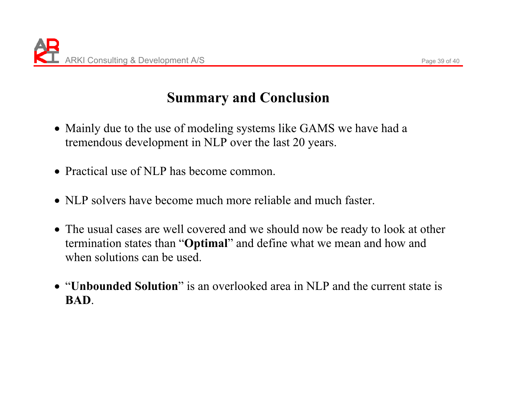### **Summary and Conclusion**

- Mainly due to the use of modeling systems like GAMS we have had a tremendous development in NLP over the last 20 years.
- Practical use of NLP has become common.
- NLP solvers have become much more reliable and much faster.
- The usual cases are well covered and we should now be ready to look at other termination states than "**Optimal**" and define what we mean and how and when solutions can be used.
- x"**Unbounded Solution**" is an overlooked area in NLP and the current state is **BAD**.